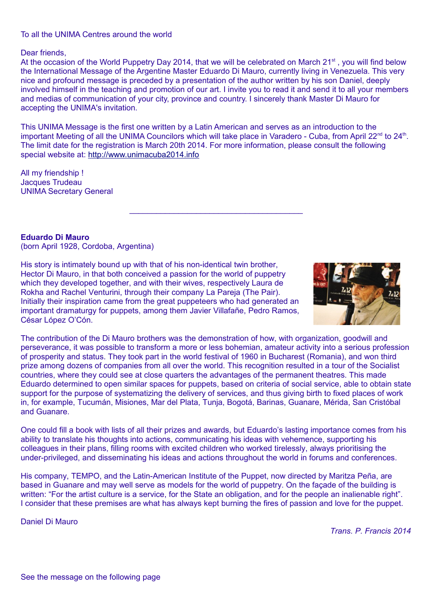## To all the UNIMA Centres around the world

## Dear friends,

At the occasion of the World Puppetry Day 2014, that we will be celebrated on March 21<sup>st</sup>, you will find below the International Message of the Argentine Master Eduardo Di Mauro, currently living in Venezuela. This very nice and profound message is preceded by a presentation of the author written by his son Daniel, deeply involved himself in the teaching and promotion of our art. I invite you to read it and send it to all your members and medias of communication of your city, province and country. I sincerely thank Master Di Mauro for accepting the UNIMA's invitation.

This UNIMA Message is the first one written by a Latin American and serves as an introduction to the important Meeting of all the UNIMA Councilors which will take place in Varadero - Cuba, from April 22<sup>nd</sup> to 24<sup>th</sup>. The limit date for the registration is March 20th 2014. For more information, please consult the following special website at: [http://www.unimacuba2014.info](http://www.unimacuba2014.info/)

All my friendship ! Jacques Trudeau UNIMA Secretary General

**Eduardo Di Mauro** (born April 1928, Cordoba, Argentina)

His story is intimately bound up with that of his non-identical twin brother, Hector Di Mauro, in that both conceived a passion for the world of puppetry which they developed together, and with their wives, respectively Laura de Rokha and Rachel Venturini, through their company La Pareja (The Pair). Initially their inspiration came from the great puppeteers who had generated an important dramaturgy for puppets, among them Javier Villafañe, Pedro Ramos, César López O'Cón.



The contribution of the Di Mauro brothers was the demonstration of how, with organization, goodwill and perseverance, it was possible to transform a more or less bohemian, amateur activity into a serious profession of prosperity and status. They took part in the world festival of 1960 in Bucharest (Romania), and won third prize among dozens of companies from all over the world. This recognition resulted in a tour of the Socialist countries, where they could see at close quarters the advantages of the permanent theatres. This made Eduardo determined to open similar spaces for puppets, based on criteria of social service, able to obtain state support for the purpose of systematizing the delivery of services, and thus giving birth to fixed places of work in, for example, Tucumán, Misiones, Mar del Plata, Tunja, Bogotá, Barinas, Guanare, Mérida, San Cristóbal and Guanare.

One could fill a book with lists of all their prizes and awards, but Eduardo's lasting importance comes from his ability to translate his thoughts into actions, communicating his ideas with vehemence, supporting his colleagues in their plans, filling rooms with excited children who worked tirelessly, always prioritising the under-privileged, and disseminating his ideas and actions throughout the world in forums and conferences.

His company, TEMPO, and the Latin-American Institute of the Puppet, now directed by Maritza Peña, are based in Guanare and may well serve as models for the world of puppetry. On the façade of the building is written: "For the artist culture is a service, for the State an obligation, and for the people an inalienable right". I consider that these premises are what has always kept burning the fires of passion and love for the puppet.

Daniel Di Mauro

*Trans. P. Francis 2014*